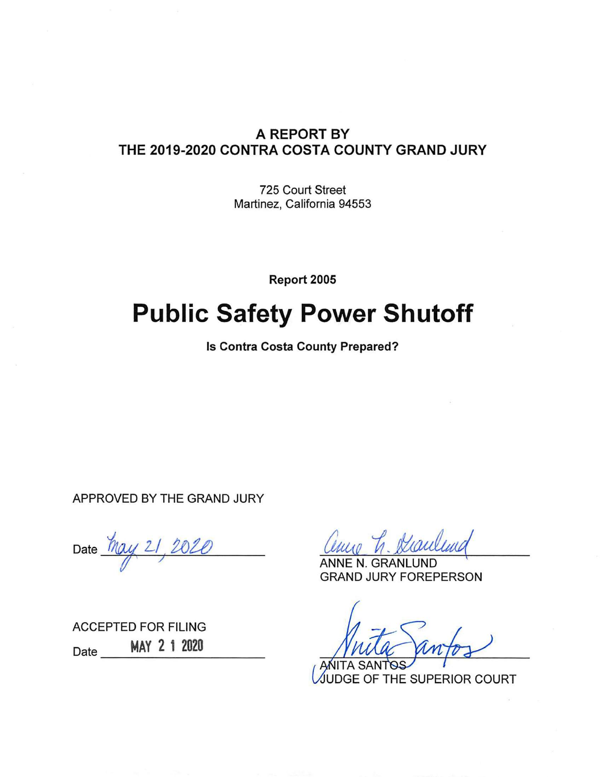### A REPORT BY THE 2019-2020 CONTRA COSTA COUNTY GRAND JURY

725 Court Street Martinez, California 94553

Report 2005

# **Public Safety Power Shutoff**

Is Contra Costa County Prepared?

APPROVED BY THE GRAND JURY

Date May 21, 2020

**ACCEPTED FOR FILING** MAY 2 1 2020 Date  $\overline{\phantom{0}}$ 

GRAN **GRAND JURY FOREPERSON** 

UDGE OF THE SUPERIOR COURT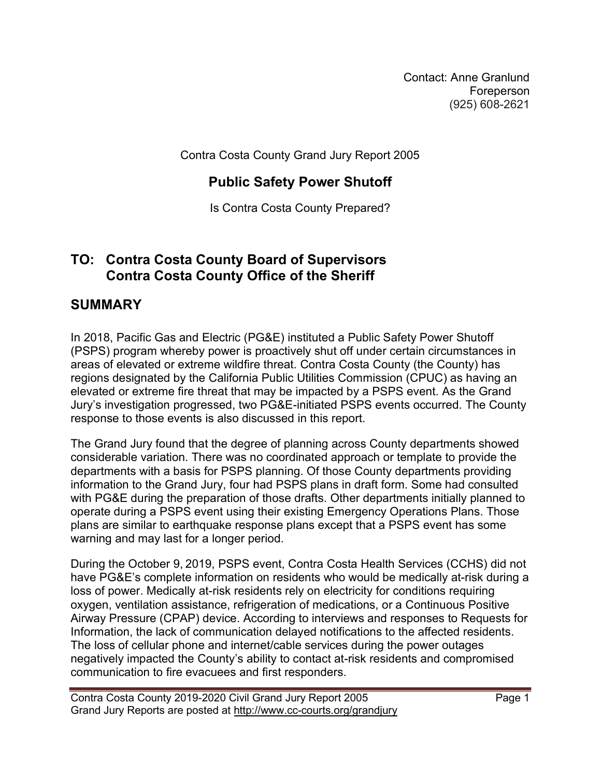Contact: Anne Granlund Foreperson (925) 608-2621

Contra Costa County Grand Jury Report 2005

## Public Safety Power Shutoff

Is Contra Costa County Prepared?

## TO: Contra Costa County Board of Supervisors Contra Costa County Office of the Sheriff

## **SUMMARY**

In 2018, Pacific Gas and Electric (PG&E) instituted a Public Safety Power Shutoff (PSPS) program whereby power is proactively shut off under certain circumstances in areas of elevated or extreme wildfire threat. Contra Costa County (the County) has regions designated by the California Public Utilities Commission (CPUC) as having an elevated or extreme fire threat that may be impacted by a PSPS event. As the Grand Jury's investigation progressed, two PG&E-initiated PSPS events occurred. The County response to those events is also discussed in this report.

The Grand Jury found that the degree of planning across County departments showed considerable variation. There was no coordinated approach or template to provide the departments with a basis for PSPS planning. Of those County departments providing information to the Grand Jury, four had PSPS plans in draft form. Some had consulted with PG&E during the preparation of those drafts. Other departments initially planned to operate during a PSPS event using their existing Emergency Operations Plans. Those plans are similar to earthquake response plans except that a PSPS event has some warning and may last for a longer period.

During the October 9, 2019, PSPS event, Contra Costa Health Services (CCHS) did not have PG&E's complete information on residents who would be medically at-risk during a loss of power. Medically at-risk residents rely on electricity for conditions requiring oxygen, ventilation assistance, refrigeration of medications, or a Continuous Positive Airway Pressure (CPAP) device. According to interviews and responses to Requests for Information, the lack of communication delayed notifications to the affected residents. The loss of cellular phone and internet/cable services during the power outages negatively impacted the County's ability to contact at-risk residents and compromised communication to fire evacuees and first responders.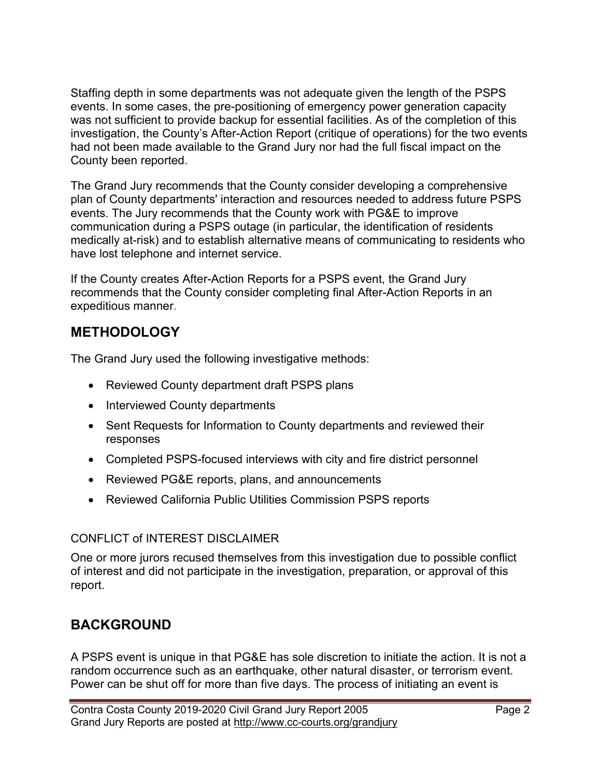Staffing depth in some departments was not adequate given the length of the PSPS events. In some cases, the pre-positioning of emergency power generation capacity was not sufficient to provide backup for essential facilities. As of the completion of this investigation, the County's After-Action Report (critique of operations) for the two events had not been made available to the Grand Jury nor had the full fiscal impact on the County been reported.

The Grand Jury recommends that the County consider developing a comprehensive plan of County departments' interaction and resources needed to address future PSPS events. The Jury recommends that the County work with PG&E to improve communication during a PSPS outage (in particular, the identification of residents medically at-risk) and to establish alternative means of communicating to residents who have lost telephone and internet service.

If the County creates After-Action Reports for a PSPS event, the Grand Jury recommends that the County consider completing final After-Action Reports in an expeditious manner.

# **METHODOLOGY**

The Grand Jury used the following investigative methods:

- Reviewed County department draft PSPS plans
- Interviewed County departments
- Sent Requests for Information to County departments and reviewed their responses
- Completed PSPS-focused interviews with city and fire district personnel
- Reviewed PG&E reports, plans, and announcements
- Reviewed California Public Utilities Commission PSPS reports

## CONFLICT of INTEREST DISCLAIMER

One or more jurors recused themselves from this investigation due to possible conflict of interest and did not participate in the investigation, preparation, or approval of this report.

# BACKGROUND

A PSPS event is unique in that PG&E has sole discretion to initiate the action. It is not a random occurrence such as an earthquake, other natural disaster, or terrorism event. Power can be shut off for more than five days. The process of initiating an event is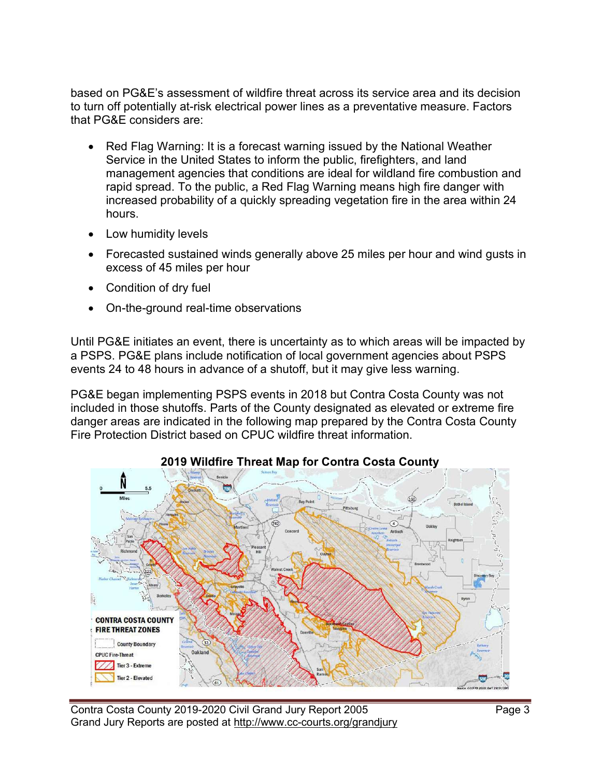based on PG&E's assessment of wildfire threat across its service area and its decision to turn off potentially at-risk electrical power lines as a preventative measure. Factors that PG&E considers are:

- Red Flag Warning: It is a forecast warning issued by the National Weather Service in the United States to inform the public, firefighters, and land management agencies that conditions are ideal for wildland fire combustion and rapid spread. To the public, a Red Flag Warning means high fire danger with increased probability of a quickly spreading vegetation fire in the area within 24 hours.
- Low humidity levels
- Forecasted sustained winds generally above 25 miles per hour and wind gusts in excess of 45 miles per hour
- Condition of dry fuel
- On-the-ground real-time observations

Until PG&E initiates an event, there is uncertainty as to which areas will be impacted by a PSPS. PG&E plans include notification of local government agencies about PSPS events 24 to 48 hours in advance of a shutoff, but it may give less warning.

PG&E began implementing PSPS events in 2018 but Contra Costa County was not included in those shutoffs. Parts of the County designated as elevated or extreme fire danger areas are indicated in the following map prepared by the Contra Costa County Fire Protection District based on CPUC wildfire threat information.



#### 2019 Wildfire Threat Map for Contra Costa County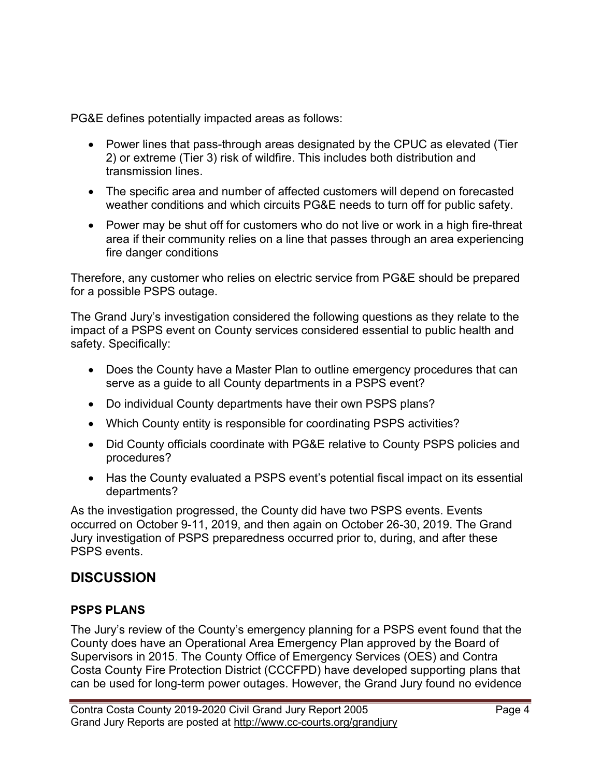PG&E defines potentially impacted areas as follows:

- Power lines that pass-through areas designated by the CPUC as elevated (Tier 2) or extreme (Tier 3) risk of wildfire. This includes both distribution and transmission lines.
- The specific area and number of affected customers will depend on forecasted weather conditions and which circuits PG&E needs to turn off for public safety.
- Power may be shut off for customers who do not live or work in a high fire-threat area if their community relies on a line that passes through an area experiencing fire danger conditions

Therefore, any customer who relies on electric service from PG&E should be prepared for a possible PSPS outage.

The Grand Jury's investigation considered the following questions as they relate to the impact of a PSPS event on County services considered essential to public health and safety. Specifically:

- Does the County have a Master Plan to outline emergency procedures that can serve as a guide to all County departments in a PSPS event?
- Do individual County departments have their own PSPS plans?
- Which County entity is responsible for coordinating PSPS activities?
- Did County officials coordinate with PG&E relative to County PSPS policies and procedures?
- Has the County evaluated a PSPS event's potential fiscal impact on its essential departments?

As the investigation progressed, the County did have two PSPS events. Events occurred on October 9-11, 2019, and then again on October 26-30, 2019. The Grand Jury investigation of PSPS preparedness occurred prior to, during, and after these PSPS events.

# **DISCUSSION**

#### PSPS PLANS

The Jury's review of the County's emergency planning for a PSPS event found that the County does have an Operational Area Emergency Plan approved by the Board of Supervisors in 2015. The County Office of Emergency Services (OES) and Contra Costa County Fire Protection District (CCCFPD) have developed supporting plans that can be used for long-term power outages. However, the Grand Jury found no evidence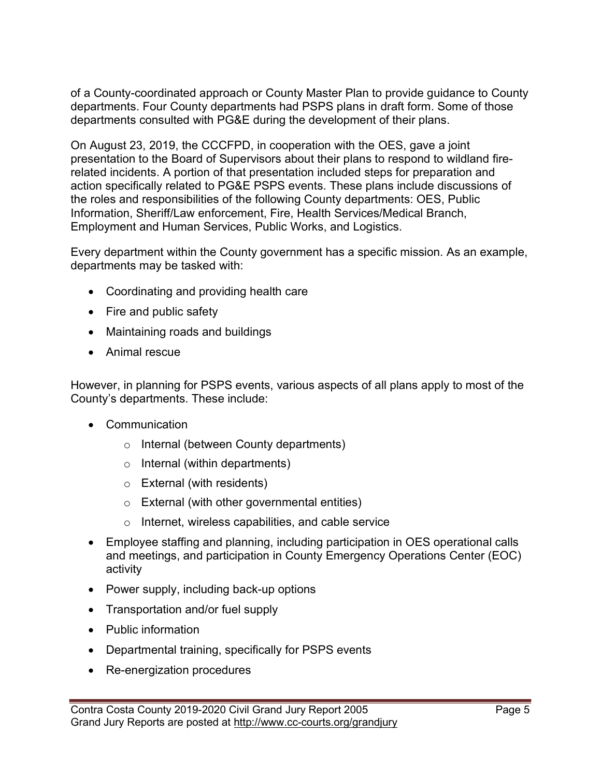of a County-coordinated approach or County Master Plan to provide guidance to County departments. Four County departments had PSPS plans in draft form. Some of those departments consulted with PG&E during the development of their plans.

On August 23, 2019, the CCCFPD, in cooperation with the OES, gave a joint presentation to the Board of Supervisors about their plans to respond to wildland firerelated incidents. A portion of that presentation included steps for preparation and action specifically related to PG&E PSPS events. These plans include discussions of the roles and responsibilities of the following County departments: OES, Public Information, Sheriff/Law enforcement, Fire, Health Services/Medical Branch, Employment and Human Services, Public Works, and Logistics.

Every department within the County government has a specific mission. As an example, departments may be tasked with:

- Coordinating and providing health care
- Fire and public safety
- Maintaining roads and buildings
- Animal rescue

However, in planning for PSPS events, various aspects of all plans apply to most of the County's departments. These include:

- Communication
	- o Internal (between County departments)
	- o Internal (within departments)
	- o External (with residents)
	- o External (with other governmental entities)
	- o Internet, wireless capabilities, and cable service
- Employee staffing and planning, including participation in OES operational calls and meetings, and participation in County Emergency Operations Center (EOC) activity
- Power supply, including back-up options
- Transportation and/or fuel supply
- Public information
- Departmental training, specifically for PSPS events
- Re-energization procedures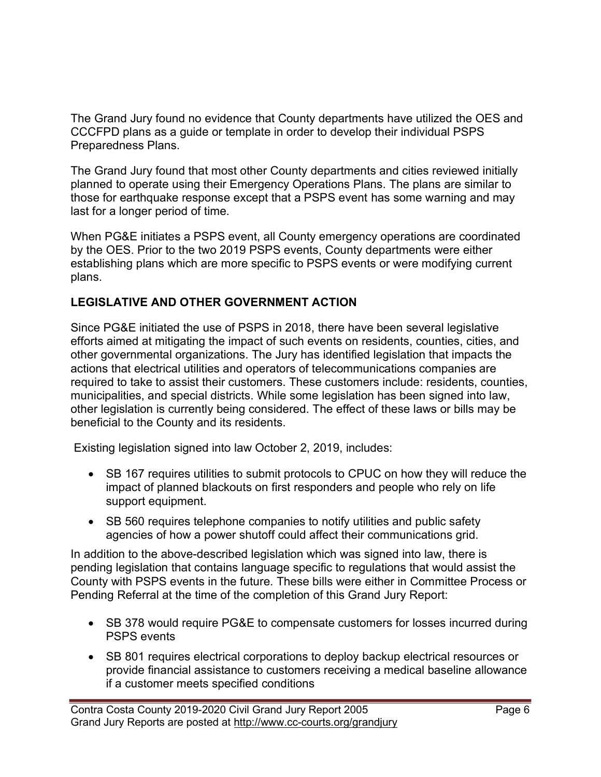The Grand Jury found no evidence that County departments have utilized the OES and CCCFPD plans as a guide or template in order to develop their individual PSPS Preparedness Plans.

The Grand Jury found that most other County departments and cities reviewed initially planned to operate using their Emergency Operations Plans. The plans are similar to those for earthquake response except that a PSPS event has some warning and may last for a longer period of time.

When PG&E initiates a PSPS event, all County emergency operations are coordinated by the OES. Prior to the two 2019 PSPS events, County departments were either establishing plans which are more specific to PSPS events or were modifying current plans.

#### LEGISLATIVE AND OTHER GOVERNMENT ACTION

Since PG&E initiated the use of PSPS in 2018, there have been several legislative efforts aimed at mitigating the impact of such events on residents, counties, cities, and other governmental organizations. The Jury has identified legislation that impacts the actions that electrical utilities and operators of telecommunications companies are required to take to assist their customers. These customers include: residents, counties, municipalities, and special districts. While some legislation has been signed into law, other legislation is currently being considered. The effect of these laws or bills may be beneficial to the County and its residents.

Existing legislation signed into law October 2, 2019, includes:

- SB 167 requires utilities to submit protocols to CPUC on how they will reduce the impact of planned blackouts on first responders and people who rely on life support equipment.
- SB 560 requires telephone companies to notify utilities and public safety agencies of how a power shutoff could affect their communications grid.

In addition to the above-described legislation which was signed into law, there is pending legislation that contains language specific to regulations that would assist the County with PSPS events in the future. These bills were either in Committee Process or Pending Referral at the time of the completion of this Grand Jury Report:

- SB 378 would require PG&E to compensate customers for losses incurred during PSPS events
- SB 801 requires electrical corporations to deploy backup electrical resources or provide financial assistance to customers receiving a medical baseline allowance if a customer meets specified conditions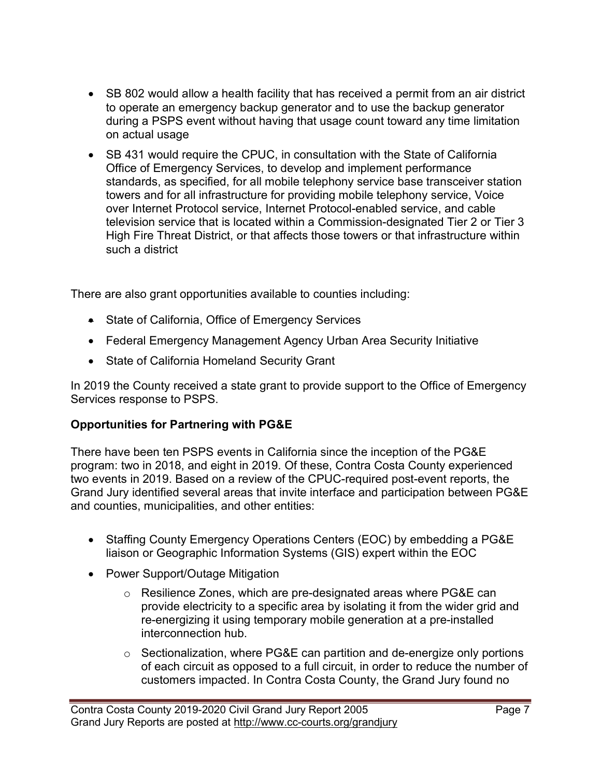- SB 802 would allow a health facility that has received a permit from an air district to operate an emergency backup generator and to use the backup generator during a PSPS event without having that usage count toward any time limitation on actual usage
- SB 431 would require the CPUC, in consultation with the State of California Office of Emergency Services, to develop and implement performance standards, as specified, for all mobile telephony service base transceiver station towers and for all infrastructure for providing mobile telephony service, Voice over Internet Protocol service, Internet Protocol-enabled service, and cable television service that is located within a Commission-designated Tier 2 or Tier 3 High Fire Threat District, or that affects those towers or that infrastructure within such a district

There are also grant opportunities available to counties including:

- State of California, Office of Emergency Services
- Federal Emergency Management Agency Urban Area Security Initiative
- State of California Homeland Security Grant

In 2019 the County received a state grant to provide support to the Office of Emergency Services response to PSPS.

#### Opportunities for Partnering with PG&E

There have been ten PSPS events in California since the inception of the PG&E program: two in 2018, and eight in 2019. Of these, Contra Costa County experienced two events in 2019. Based on a review of the CPUC-required post-event reports, the Grand Jury identified several areas that invite interface and participation between PG&E and counties, municipalities, and other entities:

- Staffing County Emergency Operations Centers (EOC) by embedding a PG&E liaison or Geographic Information Systems (GIS) expert within the EOC
- Power Support/Outage Mitigation
	- o Resilience Zones, which are pre-designated areas where PG&E can provide electricity to a specific area by isolating it from the wider grid and re-energizing it using temporary mobile generation at a pre-installed interconnection hub.
	- o Sectionalization, where PG&E can partition and de-energize only portions of each circuit as opposed to a full circuit, in order to reduce the number of customers impacted. In Contra Costa County, the Grand Jury found no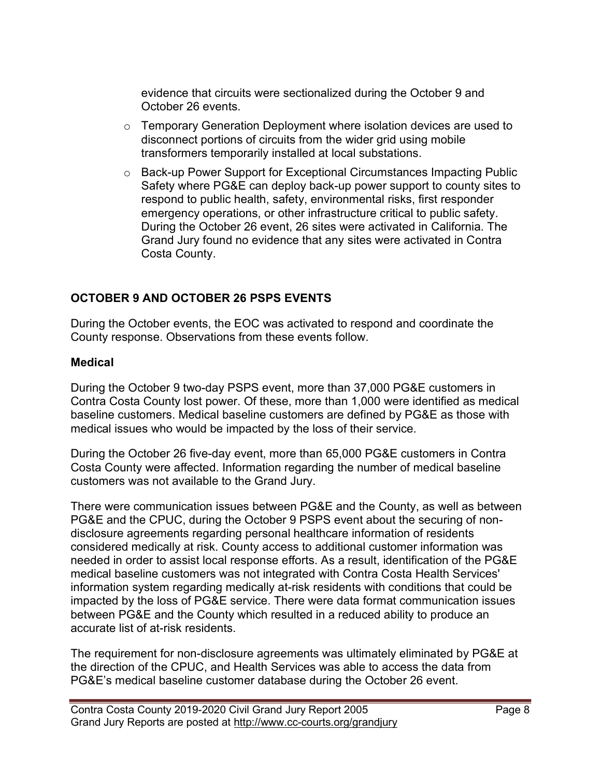evidence that circuits were sectionalized during the October 9 and October 26 events.

- o Temporary Generation Deployment where isolation devices are used to disconnect portions of circuits from the wider grid using mobile transformers temporarily installed at local substations.
- o Back-up Power Support for Exceptional Circumstances Impacting Public Safety where PG&E can deploy back-up power support to county sites to respond to public health, safety, environmental risks, first responder emergency operations, or other infrastructure critical to public safety. During the October 26 event, 26 sites were activated in California. The Grand Jury found no evidence that any sites were activated in Contra Costa County.

#### OCTOBER 9 AND OCTOBER 26 PSPS EVENTS

During the October events, the EOC was activated to respond and coordinate the County response. Observations from these events follow.

#### Medical

During the October 9 two-day PSPS event, more than 37,000 PG&E customers in Contra Costa County lost power. Of these, more than 1,000 were identified as medical baseline customers. Medical baseline customers are defined by PG&E as those with medical issues who would be impacted by the loss of their service.

During the October 26 five-day event, more than 65,000 PG&E customers in Contra Costa County were affected. Information regarding the number of medical baseline customers was not available to the Grand Jury.

There were communication issues between PG&E and the County, as well as between PG&E and the CPUC, during the October 9 PSPS event about the securing of nondisclosure agreements regarding personal healthcare information of residents considered medically at risk. County access to additional customer information was needed in order to assist local response efforts. As a result, identification of the PG&E medical baseline customers was not integrated with Contra Costa Health Services' information system regarding medically at-risk residents with conditions that could be impacted by the loss of PG&E service. There were data format communication issues between PG&E and the County which resulted in a reduced ability to produce an accurate list of at-risk residents.

The requirement for non-disclosure agreements was ultimately eliminated by PG&E at the direction of the CPUC, and Health Services was able to access the data from PG&E's medical baseline customer database during the October 26 event.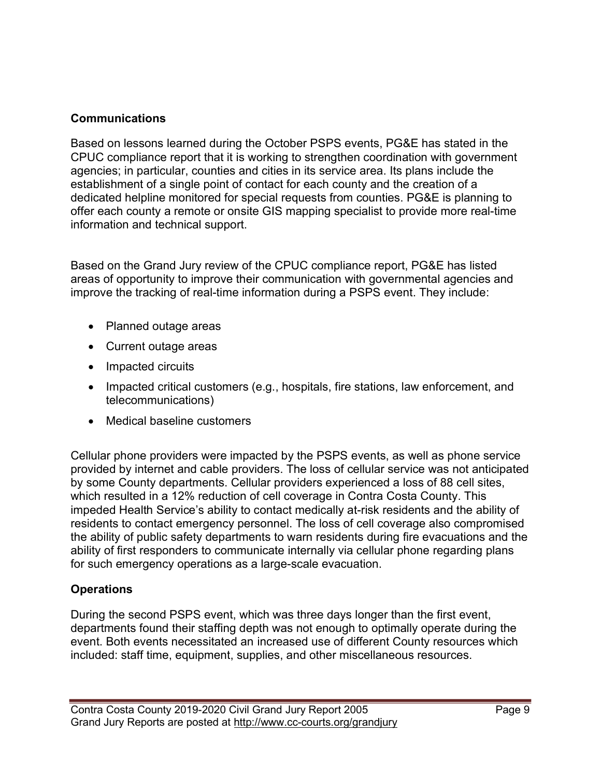#### Communications

Based on lessons learned during the October PSPS events, PG&E has stated in the CPUC compliance report that it is working to strengthen coordination with government agencies; in particular, counties and cities in its service area. Its plans include the establishment of a single point of contact for each county and the creation of a dedicated helpline monitored for special requests from counties. PG&E is planning to offer each county a remote or onsite GIS mapping specialist to provide more real-time information and technical support.

Based on the Grand Jury review of the CPUC compliance report, PG&E has listed areas of opportunity to improve their communication with governmental agencies and improve the tracking of real-time information during a PSPS event. They include:

- Planned outage areas
- Current outage areas
- Impacted circuits
- Impacted critical customers (e.g., hospitals, fire stations, law enforcement, and telecommunications)
- Medical baseline customers

Cellular phone providers were impacted by the PSPS events, as well as phone service provided by internet and cable providers. The loss of cellular service was not anticipated by some County departments. Cellular providers experienced a loss of 88 cell sites, which resulted in a 12% reduction of cell coverage in Contra Costa County. This impeded Health Service's ability to contact medically at-risk residents and the ability of residents to contact emergency personnel. The loss of cell coverage also compromised the ability of public safety departments to warn residents during fire evacuations and the ability of first responders to communicate internally via cellular phone regarding plans for such emergency operations as a large-scale evacuation.

#### **Operations**

During the second PSPS event, which was three days longer than the first event, departments found their staffing depth was not enough to optimally operate during the event. Both events necessitated an increased use of different County resources which included: staff time, equipment, supplies, and other miscellaneous resources.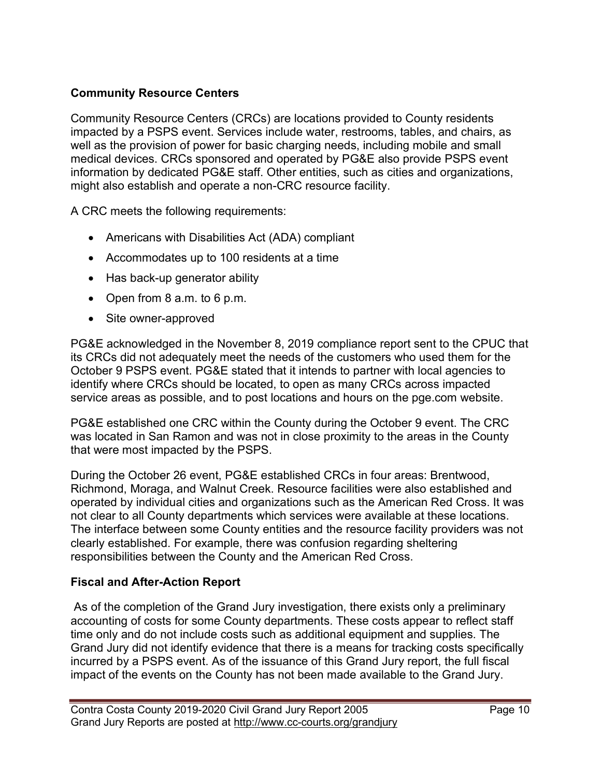#### Community Resource Centers

Community Resource Centers (CRCs) are locations provided to County residents impacted by a PSPS event. Services include water, restrooms, tables, and chairs, as well as the provision of power for basic charging needs, including mobile and small medical devices. CRCs sponsored and operated by PG&E also provide PSPS event information by dedicated PG&E staff. Other entities, such as cities and organizations, might also establish and operate a non-CRC resource facility.

A CRC meets the following requirements:

- Americans with Disabilities Act (ADA) compliant
- Accommodates up to 100 residents at a time
- Has back-up generator ability
- Open from  $8$  a.m. to  $6$  p.m.
- Site owner-approved

PG&E acknowledged in the November 8, 2019 compliance report sent to the CPUC that its CRCs did not adequately meet the needs of the customers who used them for the October 9 PSPS event. PG&E stated that it intends to partner with local agencies to identify where CRCs should be located, to open as many CRCs across impacted service areas as possible, and to post locations and hours on the pge.com website.

PG&E established one CRC within the County during the October 9 event. The CRC was located in San Ramon and was not in close proximity to the areas in the County that were most impacted by the PSPS.

During the October 26 event, PG&E established CRCs in four areas: Brentwood, Richmond, Moraga, and Walnut Creek. Resource facilities were also established and operated by individual cities and organizations such as the American Red Cross. It was not clear to all County departments which services were available at these locations. The interface between some County entities and the resource facility providers was not clearly established. For example, there was confusion regarding sheltering responsibilities between the County and the American Red Cross.

#### Fiscal and After-Action Report

 As of the completion of the Grand Jury investigation, there exists only a preliminary accounting of costs for some County departments. These costs appear to reflect staff time only and do not include costs such as additional equipment and supplies. The Grand Jury did not identify evidence that there is a means for tracking costs specifically incurred by a PSPS event. As of the issuance of this Grand Jury report, the full fiscal impact of the events on the County has not been made available to the Grand Jury.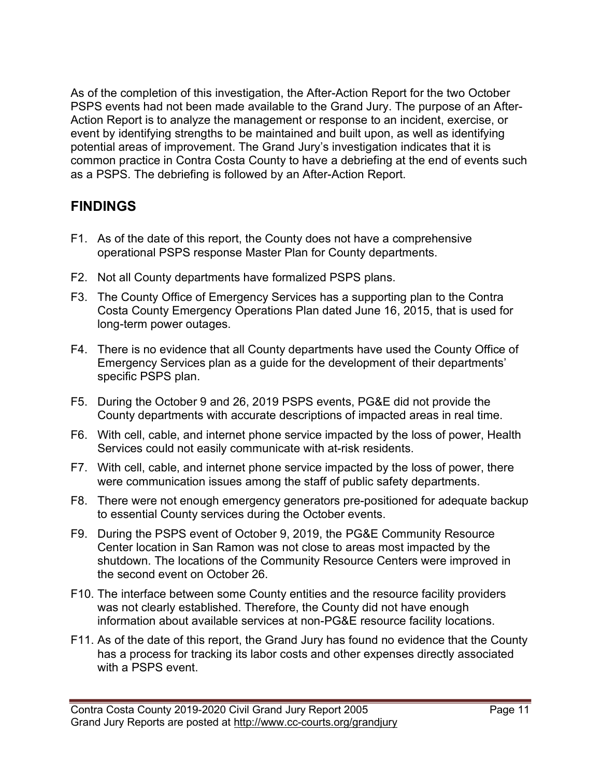As of the completion of this investigation, the After-Action Report for the two October PSPS events had not been made available to the Grand Jury. The purpose of an After-Action Report is to analyze the management or response to an incident, exercise, or event by identifying strengths to be maintained and built upon, as well as identifying potential areas of improvement. The Grand Jury's investigation indicates that it is common practice in Contra Costa County to have a debriefing at the end of events such as a PSPS. The debriefing is followed by an After-Action Report.

# **FINDINGS**

- F1. As of the date of this report, the County does not have a comprehensive operational PSPS response Master Plan for County departments.
- F2. Not all County departments have formalized PSPS plans.
- F3. The County Office of Emergency Services has a supporting plan to the Contra Costa County Emergency Operations Plan dated June 16, 2015, that is used for long-term power outages.
- F4. There is no evidence that all County departments have used the County Office of Emergency Services plan as a guide for the development of their departments' specific PSPS plan.
- F5. During the October 9 and 26, 2019 PSPS events, PG&E did not provide the County departments with accurate descriptions of impacted areas in real time.
- F6. With cell, cable, and internet phone service impacted by the loss of power, Health Services could not easily communicate with at-risk residents.
- F7. With cell, cable, and internet phone service impacted by the loss of power, there were communication issues among the staff of public safety departments.
- F8. There were not enough emergency generators pre-positioned for adequate backup to essential County services during the October events.
- F9. During the PSPS event of October 9, 2019, the PG&E Community Resource Center location in San Ramon was not close to areas most impacted by the shutdown. The locations of the Community Resource Centers were improved in the second event on October 26.
- F10. The interface between some County entities and the resource facility providers was not clearly established. Therefore, the County did not have enough information about available services at non-PG&E resource facility locations.
- F11. As of the date of this report, the Grand Jury has found no evidence that the County has a process for tracking its labor costs and other expenses directly associated with a PSPS event.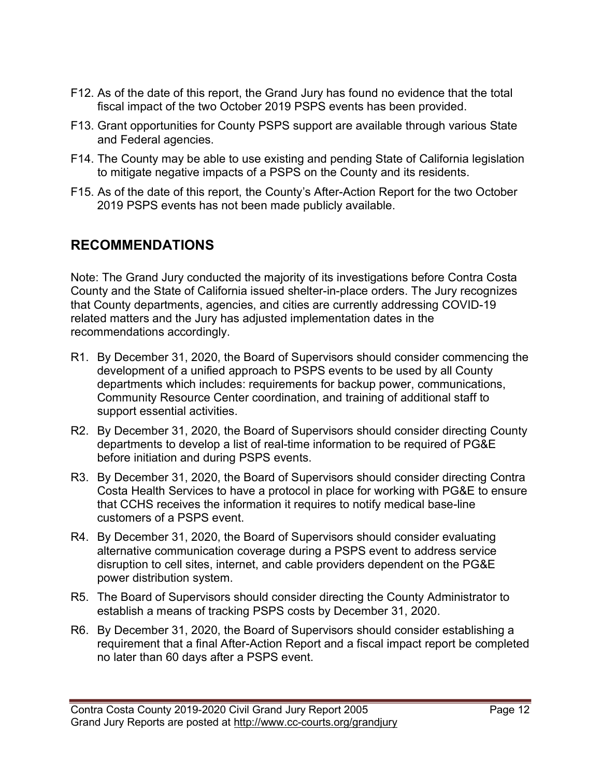- F12. As of the date of this report, the Grand Jury has found no evidence that the total fiscal impact of the two October 2019 PSPS events has been provided.
- F13. Grant opportunities for County PSPS support are available through various State and Federal agencies.
- F14. The County may be able to use existing and pending State of California legislation to mitigate negative impacts of a PSPS on the County and its residents.
- F15. As of the date of this report, the County's After-Action Report for the two October 2019 PSPS events has not been made publicly available.

# RECOMMENDATIONS

Note: The Grand Jury conducted the majority of its investigations before Contra Costa County and the State of California issued shelter-in-place orders. The Jury recognizes that County departments, agencies, and cities are currently addressing COVID-19 related matters and the Jury has adjusted implementation dates in the recommendations accordingly.

- R1. By December 31, 2020, the Board of Supervisors should consider commencing the development of a unified approach to PSPS events to be used by all County departments which includes: requirements for backup power, communications, Community Resource Center coordination, and training of additional staff to support essential activities.
- R2. By December 31, 2020, the Board of Supervisors should consider directing County departments to develop a list of real-time information to be required of PG&E before initiation and during PSPS events.
- R3. By December 31, 2020, the Board of Supervisors should consider directing Contra Costa Health Services to have a protocol in place for working with PG&E to ensure that CCHS receives the information it requires to notify medical base-line customers of a PSPS event.
- R4. By December 31, 2020, the Board of Supervisors should consider evaluating alternative communication coverage during a PSPS event to address service disruption to cell sites, internet, and cable providers dependent on the PG&E power distribution system.
- R5. The Board of Supervisors should consider directing the County Administrator to establish a means of tracking PSPS costs by December 31, 2020.
- R6. By December 31, 2020, the Board of Supervisors should consider establishing a requirement that a final After-Action Report and a fiscal impact report be completed no later than 60 days after a PSPS event.